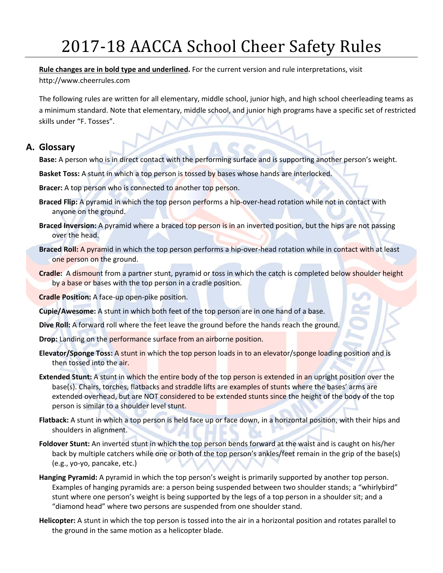# 2017-18 AACCA School Cheer Safety Rules

#### **Rule changes are in bold type and underlined.** For the current version and rule interpretations, visit

http://www.cheerrules.com

The following rules are written for all elementary, middle school, junior high, and high school cheerleading teams as a minimum standard. Note that elementary, middle school, and junior high programs have a specific set of restricted skills under "F. Tosses".

## **A. Glossary**

**Base:** A person who is in direct contact with the performing surface and is supporting another person's weight.

**Basket Toss:** A stunt in which a top person is tossed by bases whose hands are interlocked.

**Bracer:** A top person who is connected to another top person.

- **Braced Flip:** A pyramid in which the top person performs a hip‐over‐head rotation while not in contact with anyone on the ground.
- **Braced Inversion:** A pyramid where a braced top person is in an inverted position, but the hips are not passing over the head.
- **Braced Roll:** A pyramid in which the top person performs a hip‐over‐head rotation while in contact with at least one person on the ground.
- **Cradle:** A dismount from a partner stunt, pyramid or toss in which the catch is completed below shoulder height by a base or bases with the top person in a cradle position.
- **Cradle Position:** A face‐up open‐pike position.
- **Cupie/Awesome:** A stunt in which both feet of the top person are in one hand of a base.
- **Dive Roll:** A forward roll where the feet leave the ground before the hands reach the ground.
- **Drop:** Landing on the performance surface from an airborne position.
- **Elevator/Sponge Toss:** A stunt in which the top person loads in to an elevator/sponge loading position and is then tossed into the air.
- **Extended Stunt:** A stunt in which the entire body of the top person is extended in an upright position over the base(s). Chairs, torches, flatbacks and straddle lifts are examples of stunts where the bases' arms are extended overhead, but are NOT considered to be extended stunts since the height of the body of the top person is similar to a shoulder level stunt.
- **Flatback:** A stunt in which a top person is held face up or face down, in a horizontal position, with their hips and shoulders in alignment.
- **Foldover Stunt:** An inverted stunt in which the top person bends forward at the waist and is caught on his/her back by multiple catchers while one or both of the top person's ankles/feet remain in the grip of the base(s) (e.g., yo‐yo, pancake, etc.)
- **Hanging Pyramid:** A pyramid in which the top person's weight is primarily supported by another top person. Examples of hanging pyramids are: a person being suspended between two shoulder stands; a "whirlybird" stunt where one person's weight is being supported by the legs of a top person in a shoulder sit; and a "diamond head" where two persons are suspended from one shoulder stand.
- **Helicopter:** A stunt in which the top person is tossed into the air in a horizontal position and rotates parallel to the ground in the same motion as a helicopter blade.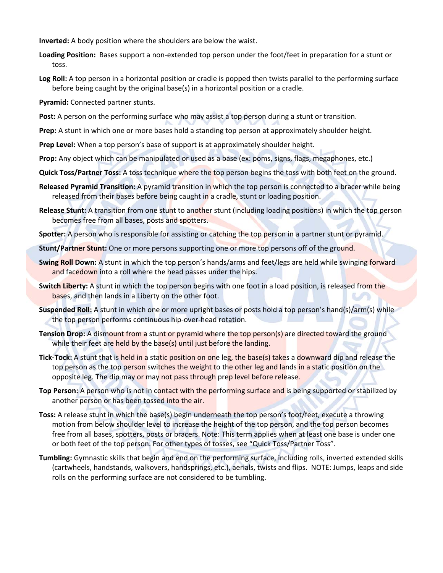**Inverted:** A body position where the shoulders are below the waist.

- **Loading Position:** Bases support a non‐extended top person under the foot/feet in preparation for a stunt or toss.
- **Log Roll:** A top person in a horizontal position or cradle is popped then twists parallel to the performing surface before being caught by the original base(s) in a horizontal position or a cradle.

**Pyramid:** Connected partner stunts.

Post: A person on the performing surface who may assist a top person during a stunt or transition.

**Prep:** A stunt in which one or more bases hold a standing top person at approximately shoulder height.

**Prep Level:** When a top person's base of support is at approximately shoulder height.

**Prop:** Any object which can be manipulated or used as a base (ex: poms, signs, flags, megaphones, etc.)

- **Quick Toss/Partner Toss:** A toss technique where the top person begins the toss with both feet on the ground.
- **Released Pyramid Transition:** A pyramid transition in which the top person is connected to a bracer while being released from their bases before being caught in a cradle, stunt or loading position.
- **Release Stunt:** A transition from one stunt to another stunt (including loading positions) in which the top person becomes free from all bases, posts and spotters.

**Spotter:** A person who is responsible for assisting or catching the top person in a partner stunt or pyramid.

**Stunt/Partner Stunt:** One or more persons supporting one or more top persons off of the ground.

- **Swing Roll Down:** A stunt in which the top person's hands/arms and feet/legs are held while swinging forward and facedown into a roll where the head passes under the hips.
- **Switch Liberty:** A stunt in which the top person begins with one foot in a load position, is released from the bases, and then lands in a Liberty on the other foot.
- **Suspended Roll:** A stunt in which one or more upright bases or posts hold a top person's hand(s)/arm(s) while the top person performs continuous hip‐over‐head rotation.
- **Tension Drop:** A dismount from a stunt or pyramid where the top person(s) are directed toward the ground while their feet are held by the base(s) until just before the landing.
- **Tick‐Tock:** A stunt that is held in a static position on one leg, the base(s) takes a downward dip and release the top person as the top person switches the weight to the other leg and lands in a static position on the opposite leg. The dip may or may not pass through prep level before release.
- **Top Person:** A person who is not in contact with the performing surface and is being supported or stabilized by another person or has been tossed into the air.
- **Toss:** A release stunt in which the base(s) begin underneath the top person's foot/feet, execute a throwing motion from below shoulder level to increase the height of the top person, and the top person becomes free from all bases, spotters, posts or bracers. Note: This term applies when at least one base is under one or both feet of the top person. For other types of tosses, see "Quick Toss/Partner Toss".
- **Tumbling:** Gymnastic skills that begin and end on the performing surface, including rolls, inverted extended skills (cartwheels, handstands, walkovers, handsprings, etc.), aerials, twists and flips. NOTE: Jumps, leaps and side rolls on the performing surface are not considered to be tumbling.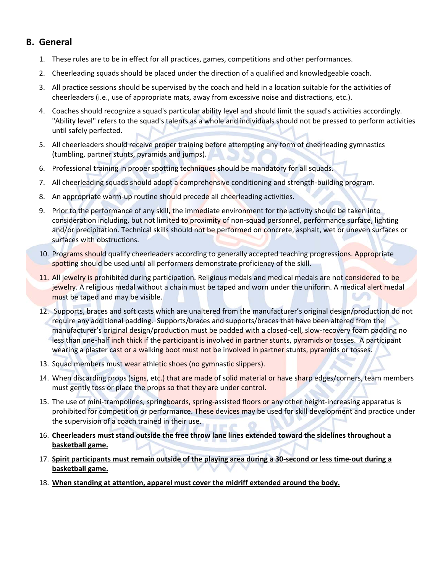### **B. General**

- 1. These rules are to be in effect for all practices, games, competitions and other performances.
- 2. Cheerleading squads should be placed under the direction of a qualified and knowledgeable coach.
- 3. All practice sessions should be supervised by the coach and held in a location suitable for the activities of cheerleaders (i.e., use of appropriate mats, away from excessive noise and distractions, etc.).
- 4. Coaches should recognize a squad's particular ability level and should limit the squad's activities accordingly. "Ability level" refers to the squad's talents as a whole and individuals should not be pressed to perform activities until safely perfected.
- 5. All cheerleaders should receive proper training before attempting any form of cheerleading gymnastics (tumbling, partner stunts, pyramids and jumps).
- 6. Professional training in proper spotting techniques should be mandatory for all squads.
- 7. All cheerleading squads should adopt a comprehensive conditioning and strength-building program.
- 8. An appropriate warm-up routine should precede all cheerleading activities.
- 9. Prior to the performance of any skill, the immediate environment for the activity should be taken into consideration including, but not limited to proximity of non-squad personnel, performance surface, lighting and/or precipitation. Technical skills should not be performed on concrete, asphalt, wet or uneven surfaces or surfaces with obstructions.
- 10. Programs should qualify cheerleaders according to generally accepted teaching progressions. Appropriate spotting should be used until all performers demonstrate proficiency of the skill.
- 11. All jewelry is prohibited during participation. Religious medals and medical medals are not considered to be jewelry. A religious medal without a chain must be taped and worn under the uniform. A medical alert medal must be taped and may be visible.
- 12. Supports, braces and soft casts which are unaltered from the manufacturer's original design/production do not require any additional padding. Supports/braces and supports/braces that have been altered from the manufacturer's original design/production must be padded with a closed-cell, slow-recovery foam padding no less than one-half inch thick if the participant is involved in partner stunts, pyramids or tosses. A participant wearing a plaster cast or a walking boot must not be involved in partner stunts, pyramids or tosses.
- 13. Squad members must wear athletic shoes (no gymnastic slippers).
- 14. When discarding props (signs, etc.) that are made of solid material or have sharp edges/corners, team members must gently toss or place the props so that they are under control.
- 15. The use of mini‐trampolines, springboards, spring‐assisted floors or any other height‐increasing apparatus is prohibited for competition or performance. These devices may be used for skill development and practice under the supervision of a coach trained in their use.
- 16. **Cheerleaders must stand outside the free throw lane lines extended toward the sidelines throughout a basketball game.**
- 17. Spirit participants must remain outside of the playing area during a 30-second or less time-out during a **basketball game.**
- 18. **When standing at attention, apparel must cover the midriff extended around the body.**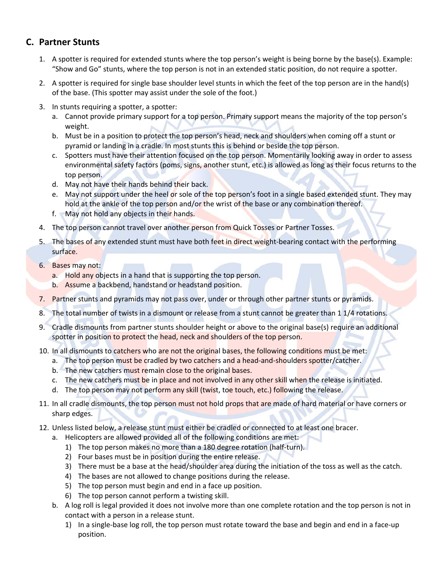# **C. Partner Stunts**

- 1. A spotter is required for extended stunts where the top person's weight is being borne by the base(s). Example: "Show and Go" stunts, where the top person is not in an extended static position, do not require a spotter.
- 2. A spotter is required for single base shoulder level stunts in which the feet of the top person are in the hand(s) of the base. (This spotter may assist under the sole of the foot.)
- 3. In stunts requiring a spotter, a spotter:
	- a. Cannot provide primary support for a top person. Primary support means the majority of the top person's weight.
	- b. Must be in a position to protect the top person's head, neck and shoulders when coming off a stunt or pyramid or landing in a cradle. In most stunts this is behind or beside the top person.
	- c. Spotters must have their attention focused on the top person. Momentarily looking away in order to assess environmental safety factors (poms, signs, another stunt, etc.) is allowed as long as their focus returns to the top person.
	- d. May not have their hands behind their back.
	- e. May not support under the heel or sole of the top person's foot in a single based extended stunt. They may hold at the ankle of the top person and/or the wrist of the base or any combination thereof.
	- f. May not hold any objects in their hands.
- 4. The top person cannot travel over another person from Quick Tosses or Partner Tosses.
- 5. The bases of any extended stunt must have both feet in direct weight-bearing contact with the performing surface.
- 6. Bases may not:
	- a. Hold any objects in a hand that is supporting the top person.
	- b. Assume a backbend, handstand or headstand position.
- 7. Partner stunts and pyramids may not pass over, under or through other partner stunts or pyramids.
- 8. The total number of twists in a dismount or release from a stunt cannot be greater than 1 1/4 rotations.
- 9. Cradle dismounts from partner stunts shoulder height or above to the original base(s) require an additional spotter in position to protect the head, neck and shoulders of the top person.
- 10. In all dismounts to catchers who are not the original bases, the following conditions must be met:
	- a. The top person must be cradled by two catchers and a head-and-shoulders spotter/catcher.
	- b. The new catchers must remain close to the original bases.
	- c. The new catchers must be in place and not involved in any other skill when the release is initiated.
	- d. The top person may not perform any skill (twist, toe touch, etc.) following the release.
- 11. In all cradle dismounts, the top person must not hold props that are made of hard material or have corners or sharp edges.
- 12. Unless listed below, a release stunt must either be cradled or connected to at least one bracer.
	- a. Helicopters are allowed provided all of the following conditions are met:
		- 1) The top person makes no more than a 180 degree rotation (half-turn).
		- 2) Four bases must be in position during the entire release.
		- 3) There must be a base at the head/shoulder area during the initiation of the toss as well as the catch.
		- 4) The bases are not allowed to change positions during the release.
		- 5) The top person must begin and end in a face up position.
		- 6) The top person cannot perform a twisting skill.
	- b. A log roll is legal provided it does not involve more than one complete rotation and the top person is not in contact with a person in a release stunt.
		- 1) In a single‐base log roll, the top person must rotate toward the base and begin and end in a face‐up position.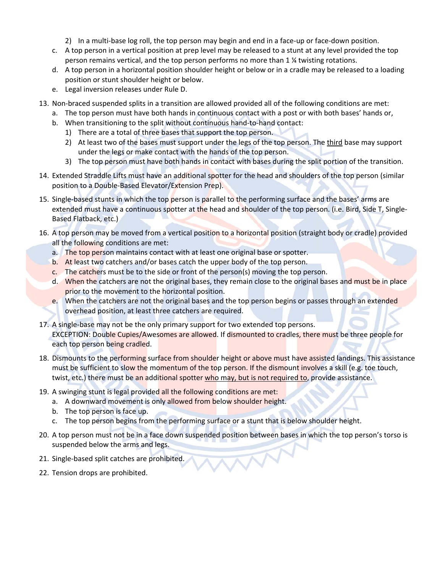- 2) In a multi-base log roll, the top person may begin and end in a face-up or face-down position.
- c. A top person in a vertical position at prep level may be released to a stunt at any level provided the top person remains vertical, and the top person performs no more than 1 ¼ twisting rotations.
- d. A top person in a horizontal position shoulder height or below or in a cradle may be released to a loading position or stunt shoulder height or below.
- e. Legal inversion releases under Rule D.
- 13. Non‐braced suspended splits in a transition are allowed provided all of the following conditions are met:
	- a. The top person must have both hands in continuous contact with a post or with both bases' hands or,
	- b. When transitioning to the split without continuous hand‐to‐hand contact:
		- 1) There are a total of three bases that support the top person.
		- 2) At least two of the bases must support under the legs of the top person. The third base may support under the legs or make contact with the hands of the top person.
		- 3) The top person must have both hands in contact with bases during the split portion of the transition.
- 14. Extended Straddle Lifts must have an additional spotter for the head and shoulders of the top person (similar position to a Double‐Based Elevator/Extension Prep).
- 15. Single-based stunts in which the top person is parallel to the performing surface and the bases' arms are extended must have a continuous spotter at the head and shoulder of the top person. (i.e. Bird, Side T, Single-Based Flatback, etc.)
- 16. A top person may be moved from a vertical position to a horizontal position (straight body or cradle) provided all the following conditions are met:
	- a. The top person maintains contact with at least one original base or spotter.
	- b. At least two catchers and/or bases catch the upper body of the top person.
	- c. The catchers must be to the side or front of the person(s) moving the top person.
	- d. When the catchers are not the original bases, they remain close to the original bases and must be in place prior to the movement to the horizontal position.
	- e. When the catchers are not the original bases and the top person begins or passes through an extended overhead position, at least three catchers are required.
- 17. A single‐base may not be the only primary support for two extended top persons. EXCEPTION: Double Cupies/Awesomes are allowed. If dismounted to cradles, there must be three people for each top person being cradled.
- 18. Dismounts to the performing surface from shoulder height or above must have assisted landings. This assistance must be sufficient to slow the momentum of the top person. If the dismount involves a skill (e.g. toe touch, twist, etc.) there must be an additional spotter who may, but is not required to, provide assistance.
- 19. A swinging stunt is legal provided all the following conditions are met:
	- a. A downward movement is only allowed from below shoulder height.
	- b. The top person is face up.
	- c. The top person begins from the performing surface or a stunt that is below shoulder height.
- 20. A top person must not be in a face down suspended position between bases in which the top person's torso is suspended below the arms and legs.
- 21. Single‐based split catches are prohibited.
- 22. Tension drops are prohibited.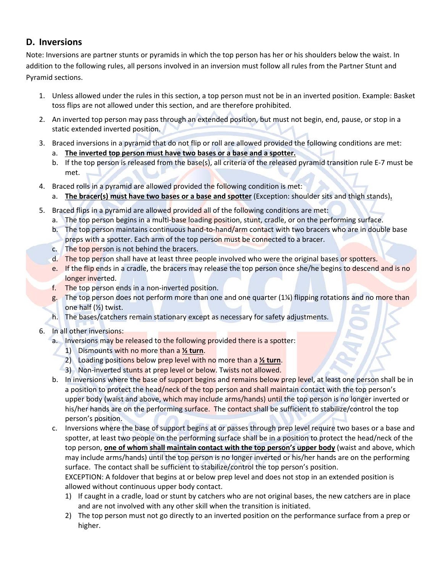### **D. Inversions**

Note: Inversions are partner stunts or pyramids in which the top person has her or his shoulders below the waist. In addition to the following rules, all persons involved in an inversion must follow all rules from the Partner Stunt and Pyramid sections.

- 1. Unless allowed under the rules in this section, a top person must not be in an inverted position. Example: Basket toss flips are not allowed under this section, and are therefore prohibited.
- 2. An inverted top person may pass through an extended position, but must not begin, end, pause, or stop in a static extended inverted position.
- 3. Braced inversions in a pyramid that do not flip or roll are allowed provided the following conditions are met:
	- a. **The inverted top person must have two bases or a base and a spotter.**
	- b. If the top person is released from the base(s), all criteria of the released pyramid transition rule E‐7 must be met.
- 4. Braced rolls in a pyramid are allowed provided the following condition is met:
	- a. **The bracer(s) must have two bases or a base and spotter** (Exception: shoulder sits and thigh stands)**.**
- 5. Braced flips in a pyramid are allowed provided all of the following conditions are met:
	- a. The top person begins in a multi-base loading position, stunt, cradle, or on the performing surface.
	- b. The top person maintains continuous hand‐to‐hand/arm contact with two bracers who are in double base preps with a spotter. Each arm of the top person must be connected to a bracer.
	- c. The top person is not behind the bracers.
	- d. The top person shall have at least three people involved who were the original bases or spotters.
	- e. If the flip ends in a cradle, the bracers may release the top person once she/he begins to descend and is no longer inverted.
	- f. The top person ends in a non-inverted position.
	- g. The top person does not perform more than one and one quarter (1¼) flipping rotations and no more than one half (½) twist.
	- h. The bases/catchers remain stationary except as necessary for safety adjustments.
- 6. In all other inversions:
	- a. Inversions may be released to the following provided there is a spotter:
		- 1) Dismounts with no more than a **½ turn**.
		- 2) Loading positions below prep level with no more than a **½ turn**.
		- 3) Non-inverted stunts at prep level or below. Twists not allowed.
	- b. In inversions where the base of support begins and remains below prep level, at least one person shall be in a position to protect the head/neck of the top person and shall maintain contact with the top person's upper body (waist and above, which may include arms/hands) until the top person is no longer inverted or his/her hands are on the performing surface. The contact shall be sufficient to stabilize/control the top person's position.
	- c. Inversions where the base of support begins at or passes through prep level require two bases or a base and spotter, at least two people on the performing surface shall be in a position to protect the head/neck of the top person, **one of whom shall maintain contact with the top person's upper body** (waist and above, which may include arms/hands) until the top person is no longer inverted or his/her hands are on the performing surface. The contact shall be sufficient to stabilize/control the top person's position.

EXCEPTION: A foldover that begins at or below prep level and does not stop in an extended position is allowed without continuous upper body contact.

- 1) If caught in a cradle, load or stunt by catchers who are not original bases, the new catchers are in place and are not involved with any other skill when the transition is initiated.
- 2) The top person must not go directly to an inverted position on the performance surface from a prep or higher.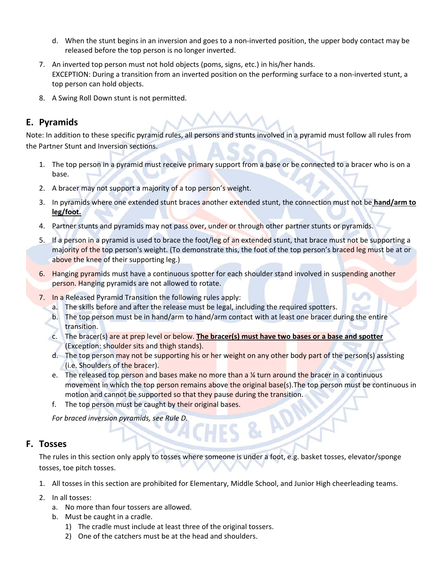- d. When the stunt begins in an inversion and goes to a non‐inverted position, the upper body contact may be released before the top person is no longer inverted.
- 7. An inverted top person must not hold objects (poms, signs, etc.) in his/her hands. EXCEPTION: During a transition from an inverted position on the performing surface to a non‐inverted stunt, a top person can hold objects.
- 8. A Swing Roll Down stunt is not permitted.

# **E. Pyramids**

Note: In addition to these specific pyramid rules, all persons and stunts involved in a pyramid must follow all rules from the Partner Stunt and Inversion sections.

- 1. The top person in a pyramid must receive primary support from a base or be connected to a bracer who is on a base.
- 2. A bracer may not support a majority of a top person's weight.
- 3. In pyramids where one extended stunt braces another extended stunt, the connection must not be **hand/arm to leg/foot.**
- 4. Partner stunts and pyramids may not pass over, under or through other partner stunts or pyramids.
- 5. If a person in a pyramid is used to brace the foot/leg of an extended stunt, that brace must not be supporting a majority of the top person's weight. (To demonstrate this, the foot of the top person's braced leg must be at or above the knee of their supporting leg.)
- 6. Hanging pyramids must have a continuous spotter for each shoulder stand involved in suspending another person. Hanging pyramids are not allowed to rotate.
- 7. In a Released Pyramid Transition the following rules apply:
	- a. The skills before and after the release must be legal, including the required spotters.
	- b. The top person must be in hand/arm to hand/arm contact with at least one bracer during the entire transition.
	- c. The bracer(s) are at prep level or below. **The bracer(s) must have two bases or a base and spotter** (Exception: shoulder sits and thigh stands).
	- d. The top person may not be supporting his or her weight on any other body part of the person(s) assisting (i.e. Shoulders of the bracer).
	- e. The released top person and bases make no more than a  $\frac{1}{4}$  turn around the bracer in a continuous movement in which the top person remains above the original base(s). The top person must be continuous in motion and cannot be supported so that they pause during the transition.

**& AD** 

f. The top person must be caught by their original bases.

*For braced inversion pyramids, see Rule D.*

#### **F. Tosses**

The rules in this section only apply to tosses where someone is under a foot, e.g. basket tosses, elevator/sponge tosses, toe pitch tosses.

- 1. All tosses in this section are prohibited for Elementary, Middle School, and Junior High cheerleading teams.
- 2. In all tosses:
	- a. No more than four tossers are allowed.
	- b. Must be caught in a cradle.
		- 1) The cradle must include at least three of the original tossers.
		- 2) One of the catchers must be at the head and shoulders.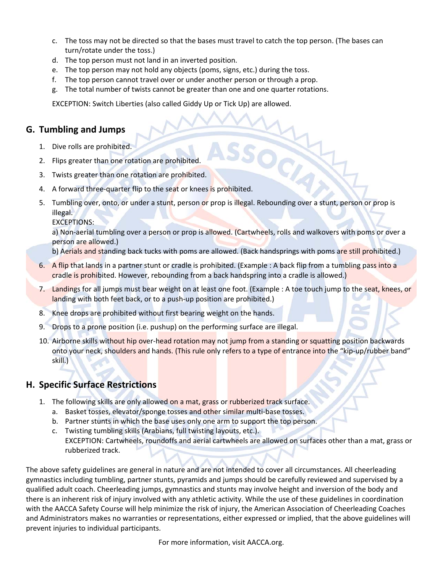- c. The toss may not be directed so that the bases must travel to catch the top person. (The bases can turn/rotate under the toss.)
- d. The top person must not land in an inverted position.
- e. The top person may not hold any objects (poms, signs, etc.) during the toss.
- f. The top person cannot travel over or under another person or through a prop.
- g. The total number of twists cannot be greater than one and one quarter rotations.

EXCEPTION: Switch Liberties (also called Giddy Up or Tick Up) are allowed.

#### **G. Tumbling and Jumps**

- 1. Dive rolls are prohibited.
- 2. Flips greater than one rotation are prohibited.
- 3. Twists greater than one rotation are prohibited.
- 4. A forward three-quarter flip to the seat or knees is prohibited.
- 5. Tumbling over, onto, or under a stunt, person or prop is illegal. Rebounding over a stunt, person or prop is illegal.

EXCEPTIONS:

a) Non-aerial tumbling over a person or prop is allowed. (Cartwheels, rolls and walkovers with poms or over a person are allowed.)

b) Aerials and standing back tucks with poms are allowed. (Back handsprings with poms are still prohibited.)

- 6. A flip that lands in a partner stunt or cradle is prohibited. (Example : A back flip from a tumbling pass into a cradle is prohibited. However, rebounding from a back handspring into a cradle is allowed.)
- 7. Landings for all jumps must bear weight on at least one foot. (Example : A toe touch jump to the seat, knees, or landing with both feet back, or to a push-up position are prohibited.)
- 8. Knee drops are prohibited without first bearing weight on the hands.
- 9. Drops to a prone position (i.e. pushup) on the performing surface are illegal.
- 10. Airborne skills without hip over-head rotation may not jump from a standing or squatting position backwards onto your neck, shoulders and hands. (This rule only refers to a type of entrance into the "kip‐up/rubber band" skill.)

#### **H. Specific Surface Restrictions**

- 1. The following skills are only allowed on a mat, grass or rubberized track surface.
	- a. Basket tosses, elevator/sponge tosses and other similar multi-base tosses.
	- b. Partner stunts in which the base uses only one arm to support the top person.
	- c. Twisting tumbling skills (Arabians, full twisting layouts, etc.). EXCEPTION: Cartwheels, roundoffs and aerial cartwheels are allowed on surfaces other than a mat, grass or rubberized track.

The above safety guidelines are general in nature and are not intended to cover all circumstances. All cheerleading gymnastics including tumbling, partner stunts, pyramids and jumps should be carefully reviewed and supervised by a qualified adult coach. Cheerleading jumps, gymnastics and stunts may involve height and inversion of the body and there is an inherent risk of injury involved with any athletic activity. While the use of these guidelines in coordination with the AACCA Safety Course will help minimize the risk of injury, the American Association of Cheerleading Coaches and Administrators makes no warranties or representations, either expressed or implied, that the above guidelines will prevent injuries to individual participants.